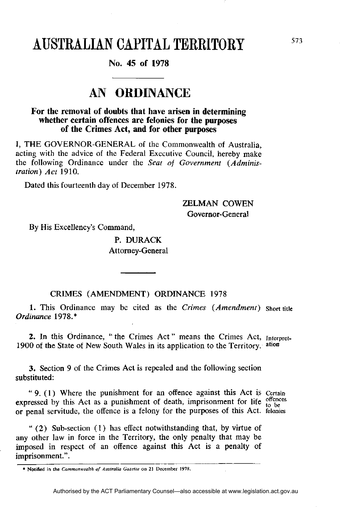# AUSTRALIAN CAPITAL TERRITORY

### **No. 45 of 1978**

## **AN ORDINANCE**

### **For the removal of doubts that have arisen in determining whether certain offences are felonies for the purposes of the Crimes Act, and for other purposes**

I, THE GOVERNOR-GENERAL of the Commonwealth of Australia, acting with the advice of the Federal Executive Council, hereby make the following Ordinance under the *Seat of Government (Administration) Act* 1910.

Dated this fourteenth day of December 1978.

ZELMAN COWEN Governor-General

By His Excellency's Command,

P. DURACK Attorney-General

#### CRIMES (AMENDMENT) ORDINANCE 1978

**1.** This Ordinance may be cited as the *Crimes (Amendment) Ordinance* 1978.\*

2. In this Ordinance, " the Crimes Act " means the Crimes Act, Interpret-1900 of the State of New South Wales in its application to the Territory. ation

**3.** Section 9 of the Crimes Act is repealed and the following section substituted:

" 9. (1) Where the punishment for an offence against this Act is Certain expressed by this Act as a punishment of death, imprisonment for life  $_{10}^{offences}$ or penal servitude, the offence is a felony for the purposes of this Act. felonies

" (2) Sub-section (1) has effect notwithstanding that, by virtue of any other law in force in the Territory, the only penalty that may be imposed in respect of an offence against this Act is a penalty of imprisonment.".

**<sup>\*</sup> Notified in the** *Commonwealth of Australia Gazette* **on 21 December 1978.**